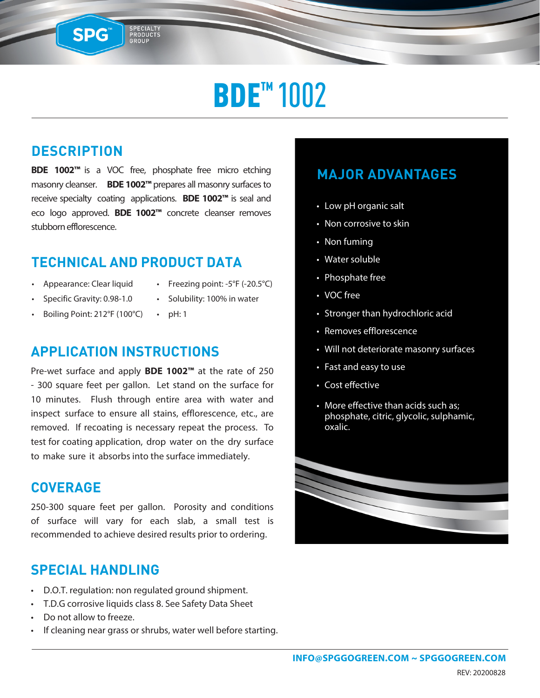# **BDE<sup>™</sup> 1002**

### **DESCRIPTION**

SPG™

**BDE 1002™** is a VOC free, phosphate free micro etching masonry cleanser. **BDE 1002™** prepares all masonry surfacesto receive specialty coating applications. **BDE 1002™** is seal and eco logo approved. **BDE 1002™** concrete cleanser removes stubborn efflorescence.

SPECIALTY<br>PRODUCTS<br>GROUP

#### **TECHNICAL AND PRODUCT DATA**

- Appearance: Clear liquid
- Freezing point: -5°F (-20.5°C)
- Specific Gravity: 0.98-1.0
- Solubility: 100% in water
- Boiling Point: 212°F (100°C)

#### • pH: 1

#### **APPLICATION INSTRUCTIONS**

Pre-wet surface and apply **BDE 1002™** at the rate of 250 - 300 square feet per gallon. Let stand on the surface for 10 minutes. Flush through entire area with water and inspect surface to ensure all stains, efflorescence, etc., are removed. If recoating is necessary repeat the process. To test for coating application, drop water on the dry surface to make sure it absorbs into the surface immediately.

#### **COVERAGE**

250-300 square feet per gallon. Porosity and conditions of surface will vary for each slab, a small test is recommended to achieve desired results prior to ordering.

#### **SPECIAL HANDLING**

- D.O.T. regulation: non regulated ground shipment.
- T.D.G corrosive liquids class 8. See Safety Data Sheet
- Do not allow to freeze.
- If cleaning near grass or shrubs, water well before starting.

### **MAJOR ADVANTAGES**

- Low pH organic salt
- Non corrosive to skin
- Non fuming
- Water soluble
- Phosphate free
- VOC free
- Stronger than hydrochloric acid
- Removes efflorescence
- Will not deteriorate masonry surfaces
- Fast and easy to use
- Cost effective
- More effective than acids such as; phosphate, citric, glycolic, sulphamic, oxalic.